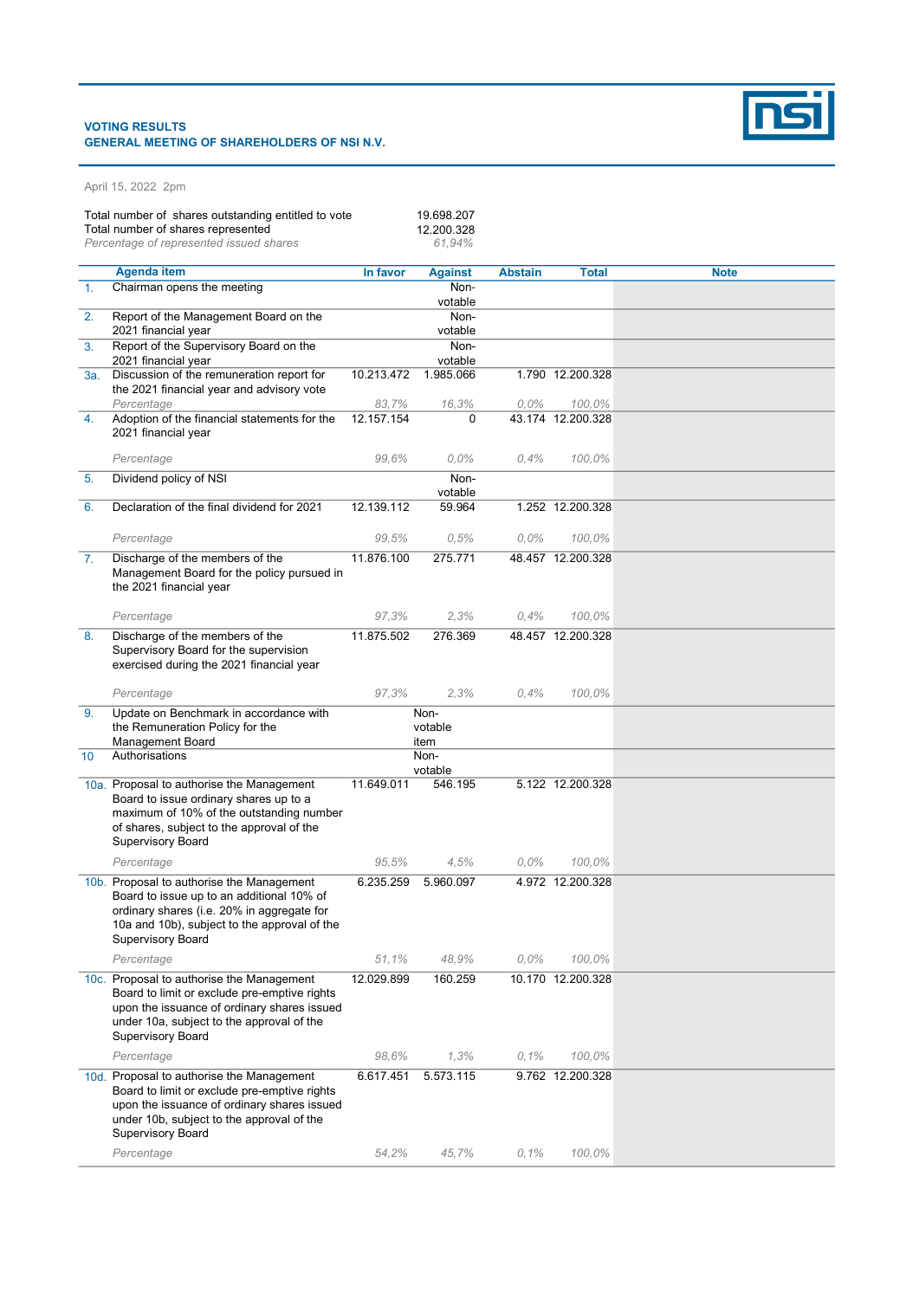## VOTING RESULTS GENERAL MEETING OF SHAREHOLDERS OF NSI N.V.



| Total number of shares outstanding entitled to vote<br>Total number of shares represented<br>Percentage of represented issued shares |                                                                                                                                                                                                                   | 19.698.207<br>12.200.328<br>61,94% |                         |                |                             |             |
|--------------------------------------------------------------------------------------------------------------------------------------|-------------------------------------------------------------------------------------------------------------------------------------------------------------------------------------------------------------------|------------------------------------|-------------------------|----------------|-----------------------------|-------------|
|                                                                                                                                      | <b>Agenda item</b>                                                                                                                                                                                                | In favor                           | <b>Against</b>          | <b>Abstain</b> | <b>Total</b>                | <b>Note</b> |
| $\mathbf{1}$ .                                                                                                                       | Chairman opens the meeting                                                                                                                                                                                        |                                    | Non-                    |                |                             |             |
|                                                                                                                                      |                                                                                                                                                                                                                   |                                    | votable                 |                |                             |             |
| 2.                                                                                                                                   | Report of the Management Board on the<br>2021 financial year                                                                                                                                                      |                                    | Non-<br>votable         |                |                             |             |
| 3.                                                                                                                                   | Report of the Supervisory Board on the<br>2021 financial year                                                                                                                                                     |                                    | Non-<br>votable         |                |                             |             |
| 3a.                                                                                                                                  | Discussion of the remuneration report for<br>the 2021 financial year and advisory vote                                                                                                                            | 10.213.472                         | 1.985.066               |                | 1.790 12.200.328            |             |
| 4.                                                                                                                                   | Percentage<br>Adoption of the financial statements for the<br>2021 financial year                                                                                                                                 | 83.7%<br>12.157.154                | 16,3%<br>$\Omega$       | $0.0\%$        | 100,0%<br>43.174 12.200.328 |             |
|                                                                                                                                      | Percentage                                                                                                                                                                                                        | 99.6%                              | $0.0\%$                 | 0,4%           | 100,0%                      |             |
| 5.                                                                                                                                   | Dividend policy of NSI                                                                                                                                                                                            |                                    | Non-<br>votable         |                |                             |             |
| 6.                                                                                                                                   | Declaration of the final dividend for 2021                                                                                                                                                                        | 12.139.112                         | 59.964                  |                | 1.252 12.200.328            |             |
|                                                                                                                                      | Percentage                                                                                                                                                                                                        | 99,5%                              | 0,5%                    | $0.0\%$        | 100,0%                      |             |
| 7.                                                                                                                                   | Discharge of the members of the<br>Management Board for the policy pursued in<br>the 2021 financial year                                                                                                          | 11.876.100                         | 275.771                 |                | 48.457 12.200.328           |             |
|                                                                                                                                      | Percentage                                                                                                                                                                                                        | 97,3%                              | 2.3%                    | 0.4%           | 100,0%                      |             |
| 8.                                                                                                                                   | Discharge of the members of the<br>Supervisory Board for the supervision<br>exercised during the 2021 financial year                                                                                              | 11.875.502                         | 276.369                 |                | 48.457 12.200.328           |             |
|                                                                                                                                      | Percentage                                                                                                                                                                                                        | 97,3%                              | 2,3%                    | 0.4%           | 100,0%                      |             |
| 9.                                                                                                                                   | Update on Benchmark in accordance with<br>the Remuneration Policy for the<br><b>Management Board</b>                                                                                                              |                                    | Non-<br>votable<br>item |                |                             |             |
| 10                                                                                                                                   | Authorisations                                                                                                                                                                                                    |                                    | Non-                    |                |                             |             |
|                                                                                                                                      | 10a. Proposal to authorise the Management                                                                                                                                                                         | 11.649.011                         | votable<br>546.195      |                | 5.122 12.200.328            |             |
|                                                                                                                                      | Board to issue ordinary shares up to a<br>maximum of 10% of the outstanding number<br>of shares, subject to the approval of the<br><b>Supervisory Board</b>                                                       |                                    |                         |                |                             |             |
|                                                                                                                                      | Percentage                                                                                                                                                                                                        | 95,5%                              | 4,5%                    | $0,0\%$        | 100,0%                      |             |
|                                                                                                                                      | 10b. Proposal to authorise the Management<br>Board to issue up to an additional 10% of<br>ordinary shares (i.e. 20% in aggregate for<br>10a and 10b), subject to the approval of the<br><b>Supervisory Board</b>  | 6.235.259                          | 5.960.097               |                | 4.972 12.200.328            |             |
|                                                                                                                                      | Percentage                                                                                                                                                                                                        | 51.1%                              | 48,9%                   | $0.0\%$        | 100,0%                      |             |
|                                                                                                                                      | 10c. Proposal to authorise the Management<br>Board to limit or exclude pre-emptive rights<br>upon the issuance of ordinary shares issued<br>under 10a, subject to the approval of the<br><b>Supervisory Board</b> | 12.029.899                         | 160.259                 |                | 10.170 12.200.328           |             |
|                                                                                                                                      | Percentage                                                                                                                                                                                                        | 98,6%                              | 1,3%                    | 0,1%           | 100,0%                      |             |
|                                                                                                                                      | 10d. Proposal to authorise the Management<br>Board to limit or exclude pre-emptive rights<br>upon the issuance of ordinary shares issued<br>under 10b, subject to the approval of the<br>Supervisory Board        | 6.617.451                          | 5.573.115               |                | 9.762 12.200.328            |             |
|                                                                                                                                      | Percentage                                                                                                                                                                                                        | 54,2%                              | 45,7%                   | 0,1%           | 100,0%                      |             |